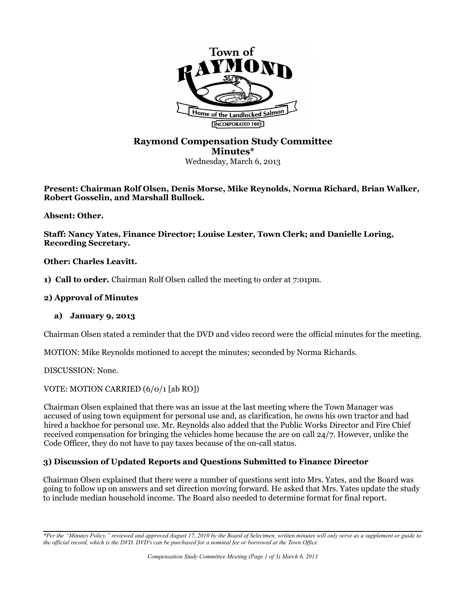

# **Raymond Compensation Study Committee Minutes\*** Wednesday, March 6, 2013

**Present: Chairman Rolf Olsen, Denis Morse, Mike Reynolds, Norma Richard, Brian Walker, Robert Gosselin, and Marshall Bullock.** 

**Absent: Other.**

**Staff: Nancy Yates, Finance Director; Louise Lester, Town Clerk; and Danielle Loring, Recording Secretary.** 

**Other: Charles Leavitt.** 

**1) Call to order.** Chairman Rolf Olsen called the meeting to order at 7:01pm.

### **2) Approval of Minutes**

#### **a) January 9, 2013**

Chairman Olsen stated a reminder that the DVD and video record were the official minutes for the meeting.

MOTION: Mike Reynolds motioned to accept the minutes; seconded by Norma Richards.

DISCUSSION: None.

VOTE: MOTION CARRIED (6/0/1 [ab RO])

Chairman Olsen explained that there was an issue at the last meeting where the Town Manager was accused of using town equipment for personal use and, as clarification, he owns his own tractor and had hired a backhoe for personal use. Mr. Reynolds also added that the Public Works Director and Fire Chief received compensation for bringing the vehicles home because the are on call 24/7. However, unlike the Code Officer, they do not have to pay taxes because of the on-call status.

## **3) Discussion of Updated Reports and Questions Submitted to Finance Director**

Chairman Olsen explained that there were a number of questions sent into Mrs. Yates, and the Board was going to follow up on answers and set direction moving forward. He asked that Mrs. Yates update the study to include median household income. The Board also needed to determine format for final report.

*<sup>\*</sup>Per the "Minutes Policy," reviewed and approved August 17, 2010 by the Board of Selectmen, written minutes will only serve as a supplement or guide to the official record, which is the DVD. DVD's can be purchased for a nominal fee or borrowed at the Town Office*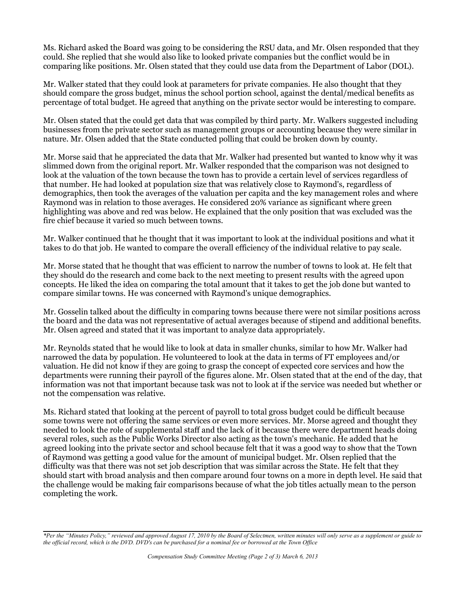Ms. Richard asked the Board was going to be considering the RSU data, and Mr. Olsen responded that they could. She replied that she would also like to looked private companies but the conflict would be in comparing like positions. Mr. Olsen stated that they could use data from the Department of Labor (DOL).

Mr. Walker stated that they could look at parameters for private companies. He also thought that they should compare the gross budget, minus the school portion school, against the dental/medical benefits as percentage of total budget. He agreed that anything on the private sector would be interesting to compare.

Mr. Olsen stated that the could get data that was compiled by third party. Mr. Walkers suggested including businesses from the private sector such as management groups or accounting because they were similar in nature. Mr. Olsen added that the State conducted polling that could be broken down by county.

Mr. Morse said that he appreciated the data that Mr. Walker had presented but wanted to know why it was slimmed down from the original report. Mr. Walker responded that the comparison was not designed to look at the valuation of the town because the town has to provide a certain level of services regardless of that number. He had looked at population size that was relatively close to Raymond's, regardless of demographics, then took the averages of the valuation per capita and the key management roles and where Raymond was in relation to those averages. He considered 20% variance as significant where green highlighting was above and red was below. He explained that the only position that was excluded was the fire chief because it varied so much between towns.

Mr. Walker continued that he thought that it was important to look at the individual positions and what it takes to do that job. He wanted to compare the overall efficiency of the individual relative to pay scale.

Mr. Morse stated that he thought that was efficient to narrow the number of towns to look at. He felt that they should do the research and come back to the next meeting to present results with the agreed upon concepts. He liked the idea on comparing the total amount that it takes to get the job done but wanted to compare similar towns. He was concerned with Raymond's unique demographics.

Mr. Gosselin talked about the difficulty in comparing towns because there were not similar positions across the board and the data was not representative of actual averages because of stipend and additional benefits. Mr. Olsen agreed and stated that it was important to analyze data appropriately.

Mr. Reynolds stated that he would like to look at data in smaller chunks, similar to how Mr. Walker had narrowed the data by population. He volunteered to look at the data in terms of FT employees and/or valuation. He did not know if they are going to grasp the concept of expected core services and how the departments were running their payroll of the figures alone. Mr. Olsen stated that at the end of the day, that information was not that important because task was not to look at if the service was needed but whether or not the compensation was relative.

Ms. Richard stated that looking at the percent of payroll to total gross budget could be difficult because some towns were not offering the same services or even more services. Mr. Morse agreed and thought they needed to look the role of supplemental staff and the lack of it because there were department heads doing several roles, such as the Public Works Director also acting as the town's mechanic. He added that he agreed looking into the private sector and school because felt that it was a good way to show that the Town of Raymond was getting a good value for the amount of municipal budget. Mr. Olsen replied that the difficulty was that there was not set job description that was similar across the State. He felt that they should start with broad analysis and then compare around four towns on a more in depth level. He said that the challenge would be making fair comparisons because of what the job titles actually mean to the person completing the work.

*<sup>\*</sup>Per the "Minutes Policy," reviewed and approved August 17, 2010 by the Board of Selectmen, written minutes will only serve as a supplement or guide to the official record, which is the DVD. DVD's can be purchased for a nominal fee or borrowed at the Town Office*